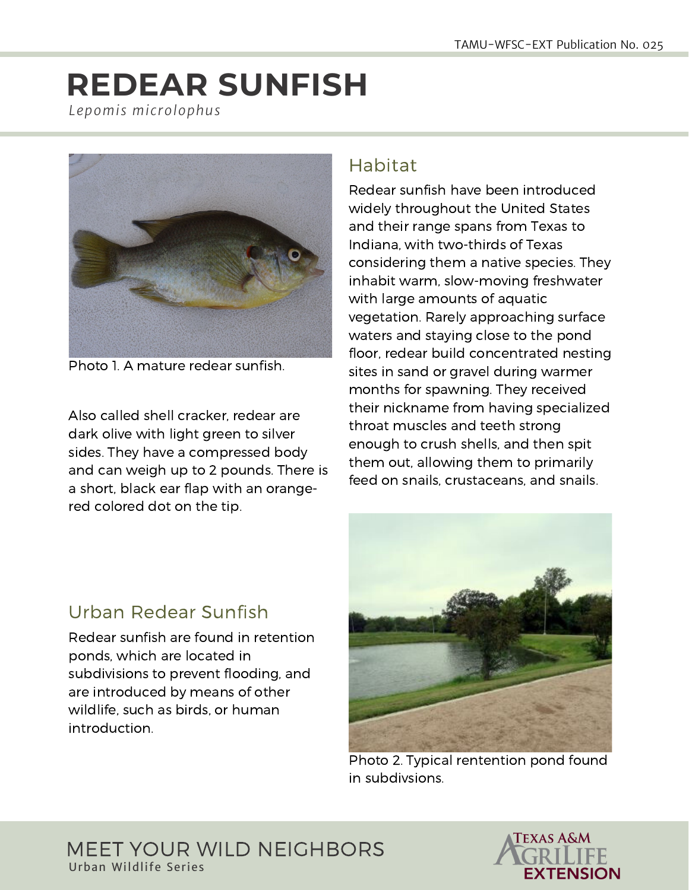# **REDEAR SUNFISH** *Lepomis microlophus*



Photo 1. A mature redear sunfish.

Also called shell cracker, redear are dark olive with light green to silver sides. They have a compressed body and can weigh up to 2 pounds. There is a short, black ear flap with an orangered colored dot on the tip.

#### Habitat

Redear sunfish have been introduced widely throughout the United States and their range spans from Texas to Indiana, with two-thirds of Texas considering them a native species. They inhabit warm, slow-moving freshwater with large amounts of aquatic vegetation. Rarely approaching surface waters and staying close to the pond floor, redear build concentrated nesting sites in sand or gravel during warmer months for spawning. They received their nickname from having specialized throat muscles and teeth strong enough to crush shells, and then spit them out, allowing them to primarily feed on snails, crustaceans, and snails.



Photo 2. Typical rentention pond found in subdivsions.

## Urban Redear Sunfish

Redear sunfish are found in retention ponds, which are located in subdivisions to prevent flooding, and are introduced by means of other wildlife, such as birds, or human introduction.